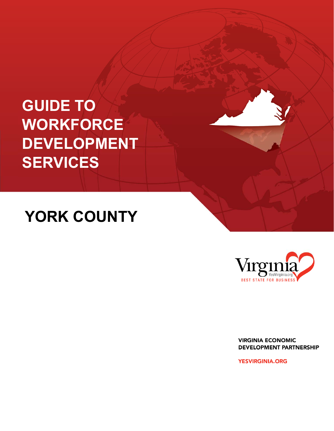# **GUIDE TO WORKFORCE DEVELOPMENT SERVICES**

# **YORK COUNTY**



**VIRGINIA ECONOMIC DEVELOPMENT PARTNERSHIP** 

**YESVIRGINIA.ORG**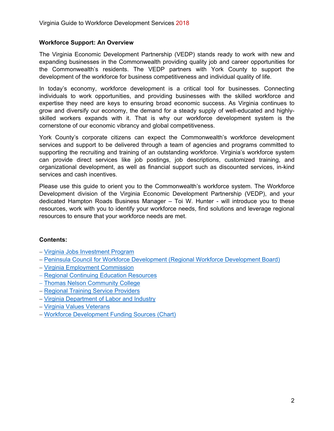## **Workforce Support: An Overview**

The Virginia Economic Development Partnership (VEDP) stands ready to work with new and expanding businesses in the Commonwealth providing quality job and career opportunities for the Commonwealth's residents. The VEDP partners with York County to support the development of the workforce for business competitiveness and individual quality of life.

In today's economy, workforce development is a critical tool for businesses. Connecting individuals to work opportunities, and providing businesses with the skilled workforce and expertise they need are keys to ensuring broad economic success. As Virginia continues to grow and diversify our economy, the demand for a steady supply of well-educated and highlyskilled workers expands with it. That is why our workforce development system is the cornerstone of our economic vibrancy and global competitiveness.

 can provide direct services like job postings, job descriptions, customized training, and York County's corporate citizens can expect the Commonwealth's workforce development services and support to be delivered through a team of agencies and programs committed to supporting the recruiting and training of an outstanding workforce. Virginia's workforce system organizational development, as well as financial support such as discounted services, in-kind services and cash incentives.

 resources, work with you to identify your workforce needs, find solutions and leverage regional direct services like job postings, job descal development, as well as financial support s<br>cash incentives.<br>this guide to orient you to the Commonwealth'<br>t division of the Virginia Economic Developm<br>ampton Roads Business Ma Please use this guide to orient you to the Commonwealth's workforce system. The Workforce Development division of the Virginia Economic Development Partnership (VEDP), and your dedicated Hampton Roads Business Manager – Toi W. Hunter - will introduce you to these resources to ensure that your workforce needs are met.

# **Contents:**

- Virginia Jobs Investment Program
- Peninsula Council for Workforce Development (Regional Workforce Development Board)
- Virginia Employment Commission
- Regional Continuing Education Resources
- Thomas Nelson Community College
- Regional Training Service Providers
- Virginia Department of Labor and Industry
- Virginia Values Veterans
- Workforce Development Funding Sources (Chart)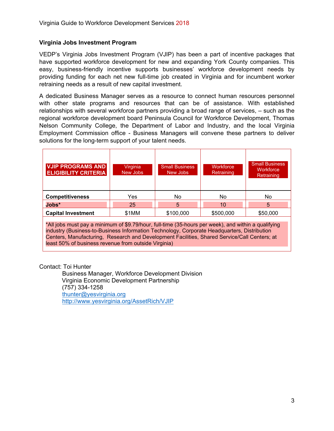## **Virginia Jobs Investment Program**

VEDP's Virginia Jobs Investment Program (VJIP) has been a part of incentive packages that have supported workforce development for new and expanding York County companies. This easy, business-friendly incentive supports businesses' workforce development needs by providing funding for each net new full-time job created in Virginia and for incumbent worker retraining needs as a result of new capital investment.

 Employment Commission office - Business Managers will convene these partners to deliver A dedicated Business Manager serves as a resource to connect human resources personnel with other state programs and resources that can be of assistance. With established relationships with several workforce partners providing a broad range of services, – such as the regional workforce development board Peninsula Council for Workforce Development, Thomas Nelson Community College, the Department of Labor and Industry, and the local Virginia solutions for the long-term support of your talent needs.

| <b>VJIP PROGRAMS AND</b><br><b>ELIGIBILITY CRITERIA</b>                                                                                                                                                                                                                                                                                                    | Virginia<br>New Jobs | <b>Small Business</b><br>New Jobs | Workforce<br>Retraining | <b>Small Business</b><br>Workforce<br>Retraining |  |  |
|------------------------------------------------------------------------------------------------------------------------------------------------------------------------------------------------------------------------------------------------------------------------------------------------------------------------------------------------------------|----------------------|-----------------------------------|-------------------------|--------------------------------------------------|--|--|
| <b>Competitiveness</b>                                                                                                                                                                                                                                                                                                                                     | <b>Yes</b>           | No                                | No.                     | <b>No</b>                                        |  |  |
| $Jobs^*$                                                                                                                                                                                                                                                                                                                                                   | 25                   | 5                                 | 10                      | 5                                                |  |  |
| <b>Capital Investment</b>                                                                                                                                                                                                                                                                                                                                  | \$1MM                | \$100,000                         | \$500,000               | \$50,000                                         |  |  |
| *All jobs must pay a minimum of \$9.79/hour, full-time (35-hours per week), and within a qualifying<br>industry (Business-to-Business Information Technology, Corporate Headquarters, Distribution<br>Centers, Manufacturing, Research and Development Facilities, Shared Service/Call Centers; at<br>least 50% of business revenue from outside Virginia) |                      |                                   |                         |                                                  |  |  |

Contact: Toi Hunter

 Business Manager, Workforce Development Division Virginia Economic Development Partnership (757) 334-1258 thunter@yesvirginia.org http://www.yesvirginia.org/AssetRich/VJIP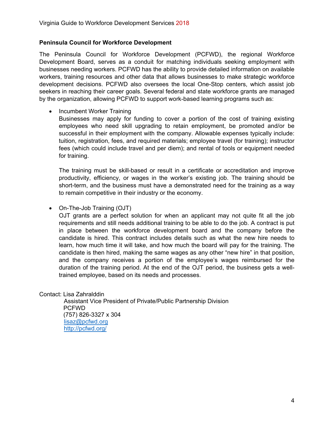## **Peninsula Council for Workforce Development**

Virginia Guide to Workforce Development Services 2018<br> **Peninsula Council for Workforce Development**<br>
The Peninsula Council for Workforce Development<br>
Development Mosares as a conduit for ratching individuals seeking emplo The Peninsula Council for Workforce Development (PCFWD), the regional Workforce Development Board, serves as a conduit for matching individuals seeking employment with businesses needing workers. PCFWD has the ability to provide detailed information on available workers, training resources and other data that allows businesses to make strategic workforce development decisions. PCFWD also oversees the local One-Stop centers, which assist job seekers in reaching their career goals. Several federal and state workforce grants are managed by the organization, allowing PCFWD to support work-based learning programs such as:

Incumbent Worker Training

 employees who need skill upgrading to retain employment, be promoted and/or be Businesses may apply for funding to cover a portion of the cost of training existing successful in their employment with the company. Allowable expenses typically include: tuition, registration, fees, and required materials; employee travel (for training); instructor fees (which could include travel and per diem); and rental of tools or equipment needed for training.

 productivity, efficiency, or wages in the worker's existing job. The training should be short-term, and the business must have a demonstrated need for the training as a way The training must be skill-based or result in a certificate or accreditation and improve to remain competitive in their industry or the economy.

• On-The-Job Training (OJT)

OJT grants are a perfect solution for when an applicant may not quite fit all the job requirements and still needs additional training to be able to do the job. A contract is put in place between the workforce development board and the company before the candidate is hired. This contract includes details such as what the new hire needs to learn, how much time it will take, and how much the board will pay for the training. The candidate is then hired, making the same wages as any other "new hire" in that position, and the company receives a portion of the employee's wages reimbursed for the duration of the training period. At the end of the OJT period, the business gets a welltrained employee, based on its needs and processes.

Contact: Lisa Zahralddin

 Assistant Vice President of Private/Public Partnership Division PCFWD (757) 826-3327 x 304 lisaz@pcfwd.org http://pcfwd.org/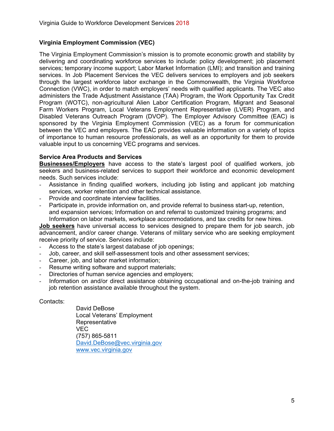# **Virginia Employment Commission (VEC)**

 through the largest workforce labor exchange in the Commonwealth, the Virginia Workforce Virginia Guide to Workforce Development Services 2018<br> **Virginia Employment Commission (VEC)**<br>
The Virginia Employment Commission's mission is to predelivering and coordinating workforce services to inclu<br>
services; tempor The Virginia Employment Commission's mission is to promote economic growth and stability by delivering and coordinating workforce services to include: policy development; job placement services; temporary income support; Labor Market Information (LMI); and transition and training services. In Job Placement Services the VEC delivers services to employers and job seekers Connection (VWC), in order to match employers' needs with qualified applicants. The VEC also administers the Trade Adjustment Assistance (TAA) Program, the Work Opportunity Tax Credit Program (WOTC), non-agricultural Alien Labor Certification Program, Migrant and Seasonal Farm Workers Program, Local Veterans Employment Representative (LVER) Program, and Disabled Veterans Outreach Program (DVOP). The Employer Advisory Committee (EAC) is sponsored by the Virginia Employment Commission (VEC) as a forum for communication between the VEC and employers. The EAC provides valuable information on a variety of topics of importance to human resource professionals, as well as an opportunity for them to provide valuable input to us concerning VEC programs and services.

## **Service Area Products and Services**

**Businesses/Employers** have access to the state's largest pool of qualified workers, job seekers and business-related services to support their workforce and economic development needs. Such services include:

- Assistance in finding qualified workers, including job listing and applicant job matching services, worker retention and other technical assistance.
- Provide and coordinate interview facilities.
- Participate in, provide information on, and provide referral to business start-up, retention, and expansion services; Information on and referral to customized training programs; and Information on labor markets, workplace accommodations, and tax credits for new hires.

**Job seekers** have universal access to services designed to prepare them for job search, job advancement, and/or career change. Veterans of military service who are seeking employment receive priority of service. Services include:

- Access to the state's largest database of job openings;
- Job, career, and skill self-assessment tools and other assessment services;
- Career, job, and labor market information;
- Resume writing software and support materials;
- Directories of human service agencies and employers;
- Information on and/or direct assistance obtaining occupational and on-the-job training and job retention assistance available throughout the system.

#### Contacts:

David.DeBose@vec.virginia.gov www.vec.virginia.gov David DeBose Local Veterans' Employment Representative VEC (757) 865-5811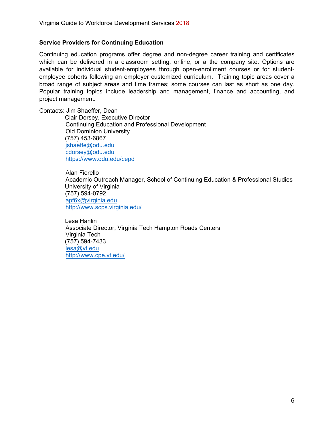## **Service Providers for Continuing Education**

 broad range of subject areas and time frames; some courses can last as short as one day. Virginia Guide to Workforce Development Services 2018<br>**Service Providers for Continuing Education**<br>Continuing education programs offer degree and non-degree career training and co<br>which can be delivered in a classroom sett Continuing education programs offer degree and non-degree career training and certificates which can be delivered in a classroom setting, online, or a the company site. Options are available for individual student-employees through open-enrollment courses or for studentemployee cohorts following an employer customized curriculum. Training topic areas cover a Popular training topics include leadership and management, finance and accounting, and project management.

Contacts: Jim Shaeffer, Dean

Clair Dorsey, Executive Director Continuing Education and Professional Development Old Dominion University (757) 453-6867 jshaeffe@odu.edu cdorsey@odu.edu https://www.odu.edu/cepd

 Alan Fiorello Academic Outreach Manager, School of Continuing Education & Professional Studies University of Virginia (757) 594-0792 apf6x@virginia.edu http://www.scps.virginia.edu/

 Lesa Hanlin Associate Director, Virginia Tech Hampton Roads Centers Virginia Tech (757) 594-7433 lesa@vt.edu http://www.cpe.vt.edu/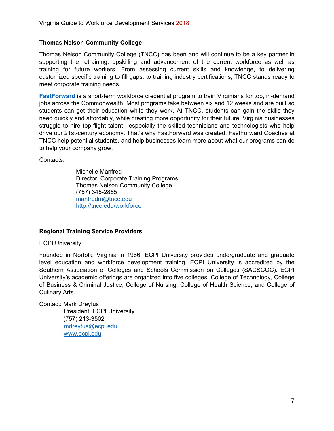## **Thomas Nelson Community College**

Thomas Nelson Community College (TNCC) has been and will continue to be a key partner in supporting the retraining, upskilling and advancement of the current workforce as well as training for future workers. From assessing current skills and knowledge, to delivering customized specific training to fill gaps, to training industry certifications, TNCC stands ready to meet corporate training needs.

**FastForward** is a short-term workforce credential program to train Virginians for top, in-demand jobs across the Commonwealth. Most programs take between six and 12 weeks and are built so students can get their education while they work. At TNCC, students can gain the skills they need quickly and affordably, while creating more opportunity for their future. Virginia businesses struggle to hire top-flight talent—especially the skilled technicians and technologists who help drive our 21st-century economy. That's why FastForward was created. FastForward Coaches at TNCC help potential students, and help businesses learn more about what our programs can do to help your company grow.

Contacts:

 manfredm@tncc.edu http://tncc.edu/workforce Michelle Manfred Director, Corporate Training Programs Thomas Nelson Community College (757) 345-2855

# **Regional Training Service Providers**

ECPI University

Founded in Norfolk, Virginia in 1966, ECPI University provides undergraduate and graduate level education and workforce development training. ECPI University is accredited by the Southern Association of Colleges and Schools Commission on Colleges (SACSCOC). ECPI University's academic offerings are organized into five colleges: College of Technology, College of Business & Criminal Justice, College of Nursing, College of Health Science, and College of Culinary Arts.

Contact: Mark Dreyfus President, ECPI University (757) 213-3502 mdreyfus@ecpi.edu www.ecpi.edu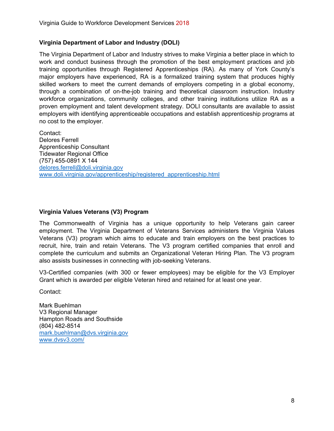## **Virginia Department of Labor and Industry (DOLI)**

 training opportunities through Registered Apprenticeships (RA). As many of York County's Virginia Guide to Workforce Development Services 2018<br>
Virginia Department of Labor and Industry (DOLI)<br>
The Virginia Department of Labor and Industry strives to mak<br>
work and conduct business through the promotion of the The Virginia Department of Labor and Industry strives to make Virginia a better place in which to work and conduct business through the promotion of the best employment practices and job major employers have experienced, RA is a formalized training system that produces highly skilled workers to meet the current demands of employers competing in a global economy, through a combination of on-the-job training and theoretical classroom instruction. Industry workforce organizations, community colleges, and other training institutions utilize RA as a proven employment and talent development strategy. DOLI consultants are available to assist employers with identifying apprenticeable occupations and establish apprenticeship programs at no cost to the employer.

 (757) 455-0891 X 144 delores.ferrell@doli.virginia.gov www.doli.virginia.gov/apprenticeship/registered\_apprenticeship.html Contact: Delores Ferrell Apprenticeship Consultant Tidewater Regional Office

## **Virginia Values Veterans (V3) Program**

The Commonwealth of Virginia has a unique opportunity to help Veterans gain career employment. The Virginia Department of Veterans Services administers the Virginia Values Veterans (V3) program which aims to educate and train employers on the best practices to recruit, hire, train and retain Veterans. The V3 program certified companies that enroll and complete the curriculum and submits an Organizational Veteran Hiring Plan. The V3 program also assists businesses in connecting with job-seeking Veterans.

V3-Certified companies (with 300 or fewer employees) may be eligible for the V3 Employer Grant which is awarded per eligible Veteran hired and retained for at least one year.

Contact:

 www.dvsv3.com/ Mark Buehlman V3 Regional Manager Hampton Roads and Southside (804) 482-8514 mark.buehlman@dvs.virginia.gov